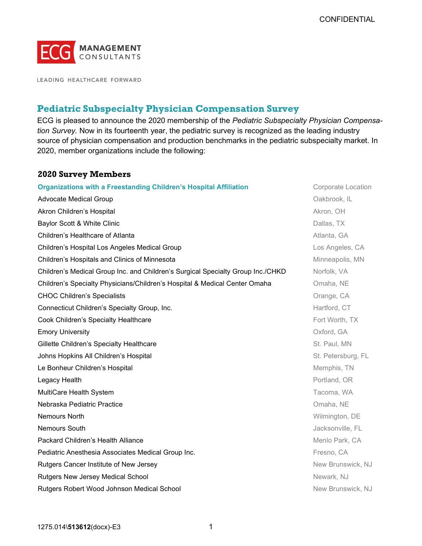

LEADING HEALTHCARE FORWARD

# Pediatric Subspecialty Physician Compensation Survey

ECG is pleased to announce the 2020 membership of the Pediatric Subspecialty Physician Compensation Survey. Now in its fourteenth year, the pediatric survey is recognized as the leading industry source of physician compensation and production benchmarks in the pediatric subspecialty market. In 2020, member organizations include the following:

## 2020 Survey Members

| <b>Organizations with a Freestanding Children's Hospital Affiliation</b>        | <b>Corporate Location</b> |
|---------------------------------------------------------------------------------|---------------------------|
| <b>Advocate Medical Group</b>                                                   | Oakbrook, IL              |
| Akron Children's Hospital                                                       | Akron, OH                 |
| Baylor Scott & White Clinic                                                     | Dallas, TX                |
| Children's Healthcare of Atlanta                                                | Atlanta, GA               |
| Children's Hospital Los Angeles Medical Group                                   | Los Angeles, CA           |
| Children's Hospitals and Clinics of Minnesota                                   | Minneapolis, MN           |
| Children's Medical Group Inc. and Children's Surgical Specialty Group Inc./CHKD | Norfolk, VA               |
| Children's Specialty Physicians/Children's Hospital & Medical Center Omaha      | Omaha, NE                 |
| <b>CHOC Children's Specialists</b>                                              | Orange, CA                |
| Connecticut Children's Specialty Group, Inc.                                    | Hartford, CT              |
| Cook Children's Specialty Healthcare                                            | Fort Worth, TX            |
| <b>Emory University</b>                                                         | Oxford, GA                |
| Gillette Children's Specialty Healthcare                                        | St. Paul, MN              |
| Johns Hopkins All Children's Hospital                                           | St. Petersburg, FL        |
| Le Bonheur Children's Hospital                                                  | Memphis, TN               |
| Legacy Health                                                                   | Portland, OR              |
| MultiCare Health System                                                         | Tacoma, WA                |
| Nebraska Pediatric Practice                                                     | Omaha, NE                 |
| Nemours North                                                                   | Wilmington, DE            |
| <b>Nemours South</b>                                                            | Jacksonville, FL          |
| Packard Children's Health Alliance                                              | Menlo Park, CA            |
| Pediatric Anesthesia Associates Medical Group Inc.                              | Fresno, CA                |
| Rutgers Cancer Institute of New Jersey                                          | New Brunswick, NJ         |
| Rutgers New Jersey Medical School                                               | Newark, NJ                |
| Rutgers Robert Wood Johnson Medical School                                      | New Brunswick, NJ         |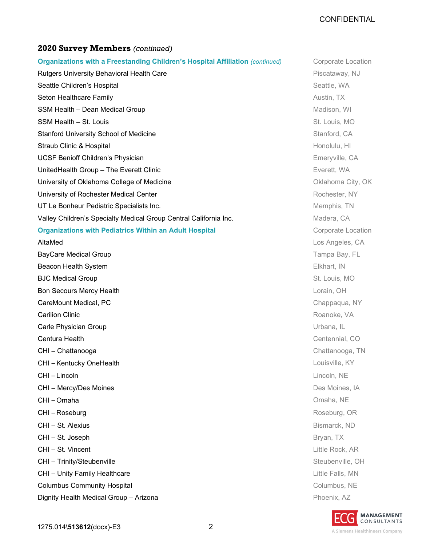### CONFIDENTIAL

## 2020 Survey Members (continued)

| Organizations with a Freestanding Children's Hospital Affiliation (continued) | <b>Corporate Location</b> |
|-------------------------------------------------------------------------------|---------------------------|
| Rutgers University Behavioral Health Care                                     | Piscataway, NJ            |
| Seattle Children's Hospital                                                   | Seattle, WA               |
| Seton Healthcare Family                                                       | Austin, TX                |
| SSM Health - Dean Medical Group                                               | Madison, WI               |
| SSM Health - St. Louis                                                        | St. Louis, MO             |
| <b>Stanford University School of Medicine</b>                                 | Stanford, CA              |
| Straub Clinic & Hospital                                                      | Honolulu, HI              |
| <b>UCSF Benioff Children's Physician</b>                                      | Emeryville, CA            |
| UnitedHealth Group - The Everett Clinic                                       | Everett, WA               |
| University of Oklahoma College of Medicine                                    | Oklahoma City, OK         |
| University of Rochester Medical Center                                        | Rochester, NY             |
| UT Le Bonheur Pediatric Specialists Inc.                                      | Memphis, TN               |
| Valley Children's Specialty Medical Group Central California Inc.             | Madera, CA                |
| <b>Organizations with Pediatrics Within an Adult Hospital</b>                 | Corporate Location        |
| AltaMed                                                                       | Los Angeles, CA           |
| <b>BayCare Medical Group</b>                                                  | Tampa Bay, FL             |
| Beacon Health System                                                          | Elkhart, IN               |
| <b>BJC Medical Group</b>                                                      | St. Louis, MO             |
| Bon Secours Mercy Health                                                      | Lorain, OH                |
| CareMount Medical, PC                                                         | Chappaqua, NY             |
| <b>Carilion Clinic</b>                                                        | Roanoke, VA               |
| Carle Physician Group                                                         | Urbana, IL                |
| Centura Health                                                                | Centennial, CO            |
| CHI - Chattanooga                                                             | Chattanooga, TN           |
| CHI-Kentucky OneHealth                                                        | Louisville, KY            |
| CHI-Lincoln                                                                   | Lincoln, NE               |
| CHI - Mercy/Des Moines                                                        | Des Moines, IA            |
| CHI-Omaha                                                                     | Omaha, NE                 |
| CHI-Roseburg                                                                  | Roseburg, OR              |
| CHI - St. Alexius                                                             | Bismarck, ND              |
| CHI - St. Joseph                                                              | Bryan, TX                 |
| CHI - St. Vincent                                                             | Little Rock, AR           |
| CHI - Trinity/Steubenville                                                    | Steubenville, OH          |
| CHI - Unity Family Healthcare                                                 | Little Falls, MN          |
| <b>Columbus Community Hospital</b>                                            | Columbus, NE              |
| Dignity Health Medical Group - Arizona                                        | Phoenix, AZ               |

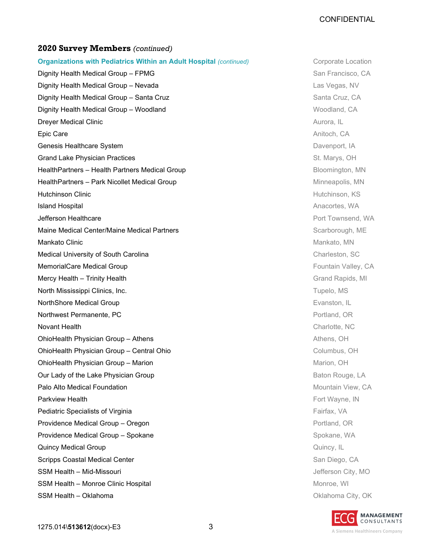#### 2020 Survey Members (continued)

**Organizations with Pediatrics Within an Adult Hospital (continued)** Corporate Location Dignity Health Medical Group – FPMG San Francisco, CA Dignity Health Medical Group – Nevada Las Vegas, NV **Dignity Health Medical Group – Santa Cruz** Santa Cruz, CA Dignity Health Medical Group – Woodland Woodland Woodland, CA **Dreyer Medical Clinic Community Community Community Community Community Community Community Community Community Epic Care** Anitoch, CA Genesis Healthcare System **Davenus Community Community Community** Community Community Davenport, IA Grand Lake Physician Practices St. Marys, OH HealthPartners – Health Partners Medical Group **Bloomington, MN** Bloomington, MN HealthPartners – Park Nicollet Medical Group Minneapolis, MN **Hutchinson Clinic Hutchinson, KS Island Hospital Anacortes, WA Anacortes, WA Anacortes, WA Anacortes, WA Anacortes, WA Anacortes, WA Anacortes, WA Jefferson Healthcare** Proceeding and the extension of the extension of the extension of the extension of the extension of the extension of the extension of the extension of the extension of the extension of the extension Maine Medical Center/Maine Medical Partners **Scarborough, ME** Scarborough, ME **Mankato Clinic Contract Contract Contract Contract Contract Contract Contract Contract Contract Contract Contract Contract Contract Contract Contract Contract Contract Contract Contract Contract Contract Contract Contract** Medical University of South Carolina Charleston, SC and Charleston, SC and Charleston, SC **MemorialCare Medical Group Care According to the CAR According CA** Fountain Valley, CA Mercy Health – Trinity Health Grand Rapids, MI and Rapids, MI and Rapids, MI and Rapids, MI and Rapids, MI and Rapids, MI North Mississippi Clinics, Inc. Tupelo, MS NorthShore Medical Group **Evanston**, IL **Northwest Permanente, PC** Portland, OR **Novant Health** Charlotte, NC **OhioHealth Physician Group – Athens Athens Athens, OH** Athens, OH OhioHealth Physician Group – Central Ohio Columbus, OH **OhioHealth Physician Group – Marion Marion Marion Marion, OH** Our Lady of the Lake Physician Group Baton Rouge, LA **Palo Alto Medical Foundation Mountain View, CA Parkview Health** Fort Wayne, IN **Pediatric Specialists of Virginia** Fairfax, VA and The Second Science of Tairfax, VA and Tairfax, VA and Tairfax, VA **Providence Medical Group – Oregon Providence Additional Portland, OR** Providence Medical Group – Spokane Spokane Spokane, WA **Quincy Medical Group Community Community Community Community Community Community Cuincy, IL** Scripps Coastal Medical Center San Diego, CA SSM Health – Mid-Missouri Jefferson City, MO SSM Health – Monroe Clinic Hospital Monroe, WI and Monroe, WI and Monroe, WI and Monroe, WI **SSM Health – Oklahoma Oklahoma Oklahoma Oklahoma City, OK**